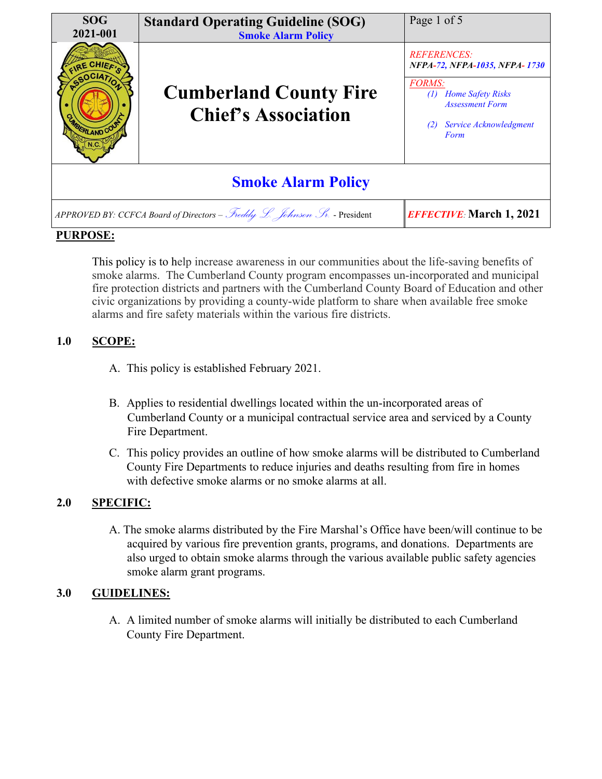

### **PURPOSE:**

This policy is to help increase awareness in our communities about the life-saving benefits of smoke alarms. The Cumberland County program encompasses un-incorporated and municipal fire protection districts and partners with the Cumberland County Board of Education and other civic organizations by providing a county-wide platform to share when available free smoke alarms and fire safety materials within the various fire districts.

# **1.0 SCOPE:**

- A. This policy is established February 2021.
- B. Applies to residential dwellings located within the un-incorporated areas of Cumberland County or a municipal contractual service area and serviced by a County Fire Department.
- C. This policy provides an outline of how smoke alarms will be distributed to Cumberland County Fire Departments to reduce injuries and deaths resulting from fire in homes with defective smoke alarms or no smoke alarms at all.

# **2.0 SPECIFIC:**

A. The smoke alarms distributed by the Fire Marshal's Office have been/will continue to be acquired by various fire prevention grants, programs, and donations. Departments are also urged to obtain smoke alarms through the various available public safety agencies smoke alarm grant programs.

# **3.0 GUIDELINES:**

A. A limited number of smoke alarms will initially be distributed to each Cumberland County Fire Department.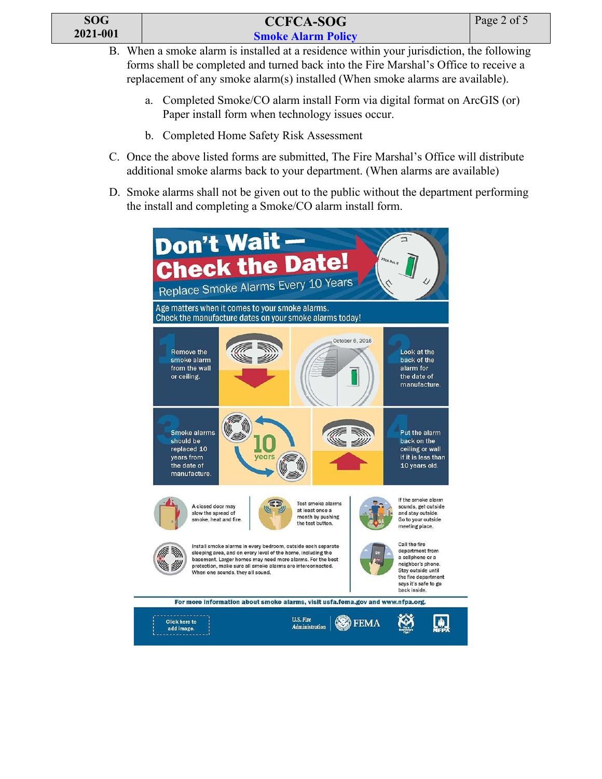| SOG      |  |
|----------|--|
| 2021-001 |  |

- B. When a smoke alarm is installed at a residence within your jurisdiction, the following forms shall be completed and turned back into the Fire Marshal's Office to receive a replacement of any smoke alarm(s) installed (When smoke alarms are available).
	- a. Completed Smoke/CO alarm install Form via digital format on ArcGIS (or) Paper install form when technology issues occur.
	- b. Completed Home Safety Risk Assessment
- C. Once the above listed forms are submitted, The Fire Marshal's Office will distribute additional smoke alarms back to your department. (When alarms are available)
- D. Smoke alarms shall not be given out to the public without the department performing the install and completing a Smoke/CO alarm install form.

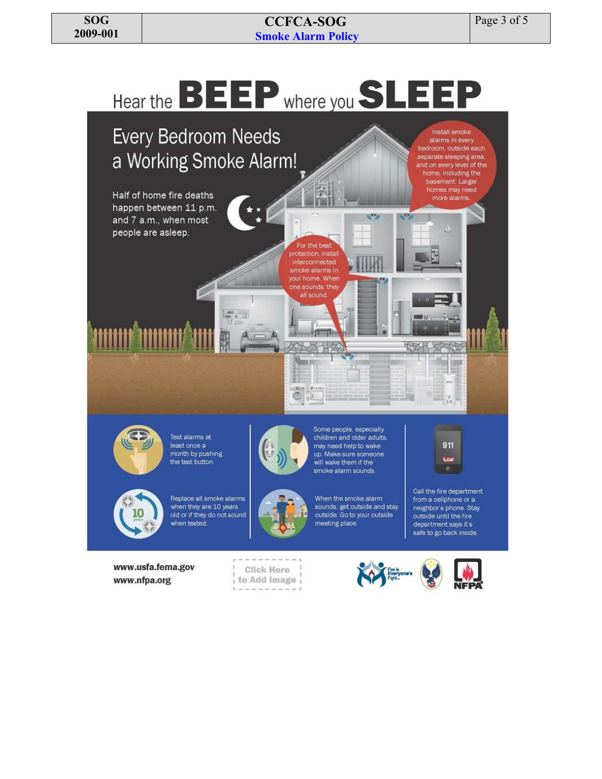# **CCFCA -SOG Smoke Alarm Policy**



www.nfpa.org

to Add Image



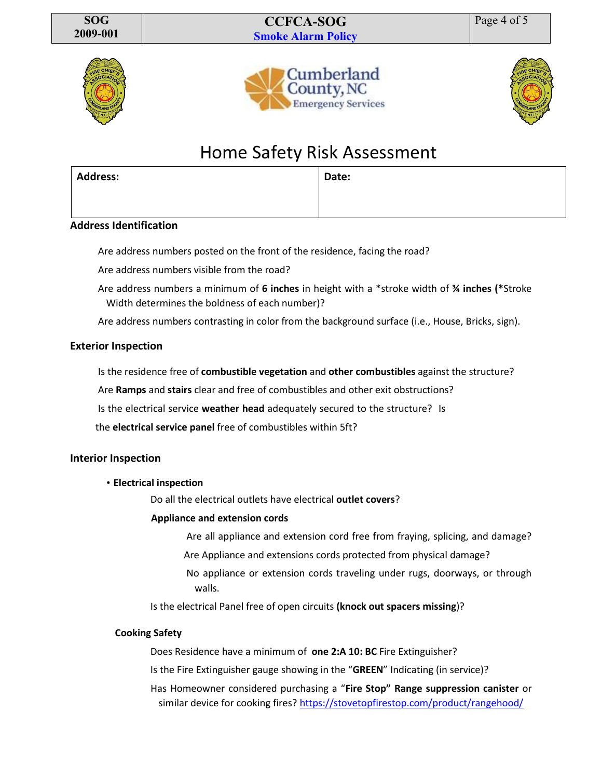**CCFCA-SOG Smoke Alarm Policy**









# Home Safety Risk Assessment

| <b>Address:</b> | Date: |
|-----------------|-------|
|                 |       |
|                 |       |

#### **Address Identification**

Are address numbers posted on the front of the residence, facing the road?

Are address numbers visible from the road?

Are address numbers a minimum of **6 inches** in height with a \*stroke width of **¾ inches (\***Stroke Width determines the boldness of each number)?

Are address numbers contrasting in color from the background surface (i.e., House, Bricks, sign).

#### **Exterior Inspection**

Is the residence free of **combustible vegetation** and **other combustibles** against the structure?

Are **Ramps** and **stairs** clear and free of combustibles and other exit obstructions?

Is the electrical service **weather head** adequately secured to the structure? Is

the **electrical service panel** free of combustibles within 5ft?

#### **Interior Inspection**

#### • **Electrical inspection**

Do all the electrical outlets have electrical **outlet covers**?

#### **Appliance and extension cords**

Are all appliance and extension cord free from fraying, splicing, and damage?

- Are Appliance and extensions cords protected from physical damage?
- No appliance or extension cords traveling under rugs, doorways, or through walls.

Is the electrical Panel free of open circuits **(knock out spacers missing**)?

#### **Cooking Safety**

Does Residence have a minimum of **one 2:A 10: BC** Fire Extinguisher?

Is the Fire Extinguisher gauge showing in the "**GREEN**" Indicating (in service)?

Has Homeowner considered purchasing a "**Fire Stop" Range suppression canister** or similar device for cooking fires[? https://stovetopfirestop.com/product/rangehood/](https://stovetopfirestop.com/product/rangehood/)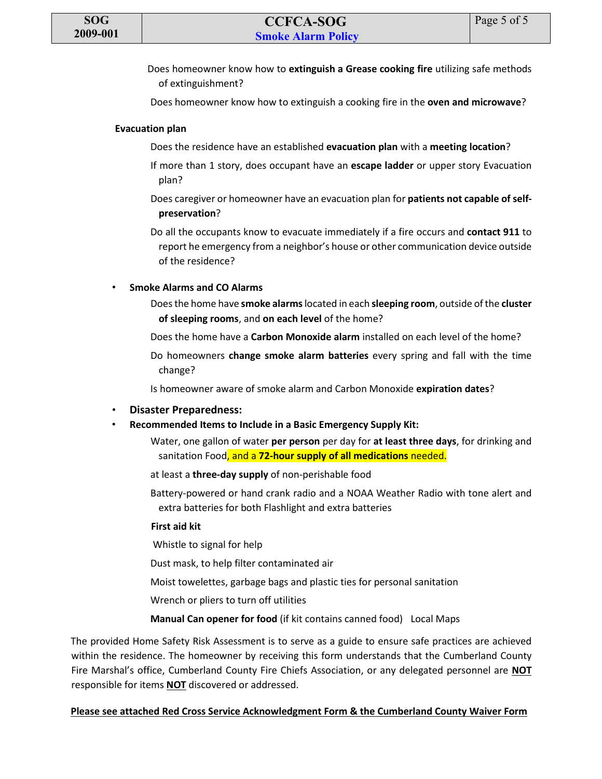Does homeowner know how to **extinguish a Grease cooking fire** utilizing safe methods of extinguishment?

Does homeowner know how to extinguish a cooking fire in the **oven and microwave**?

#### **Evacuation plan**

- Does the residence have an established **evacuation plan** with a **meeting location**?
- If more than 1 story, does occupant have an **escape ladder** or upper story Evacuation plan?
- Does caregiver or homeowner have an evacuation plan for **patients not capable of selfpreservation**?

Do all the occupants know to evacuate immediately if a fire occurs and **contact 911** to report he emergency from a neighbor's house or other communication device outside of the residence?

#### • **Smoke Alarms and CO Alarms**

- Does the home have **smoke alarms**located in each **sleeping room**, outside of the **cluster of sleeping rooms**, and **on each level** of the home?
- Does the home have a **Carbon Monoxide alarm** installed on each level of the home?
- Do homeowners **change smoke alarm batteries** every spring and fall with the time change?
- Is homeowner aware of smoke alarm and Carbon Monoxide **expiration dates**?
- **Disaster Preparedness:**
- **Recommended Items to Include in a Basic Emergency Supply Kit:**
	- Water, one gallon of water **per person** per day for **at least three days**, for drinking and sanitation Food, and a **72-hour supply of all medications** needed.
	- at least a **three-day supply** of non-perishable food
	- Battery-powered or hand crank radio and a NOAA Weather Radio with tone alert and extra batteries for both Flashlight and extra batteries

#### **First aid kit**

- Whistle to signal for help
- Dust mask, to help filter contaminated air
- Moist towelettes, garbage bags and plastic ties for personal sanitation
- Wrench or pliers to turn off utilities
- **Manual Can opener for food** (if kit contains canned food) Local Maps

The provided Home Safety Risk Assessment is to serve as a guide to ensure safe practices are achieved within the residence. The homeowner by receiving this form understands that the Cumberland County Fire Marshal's office, Cumberland County Fire Chiefs Association, or any delegated personnel are **NOT** responsible for items **NOT** discovered or addressed.

#### **Please see attached Red Cross Service Acknowledgment Form & the Cumberland County Waiver Form**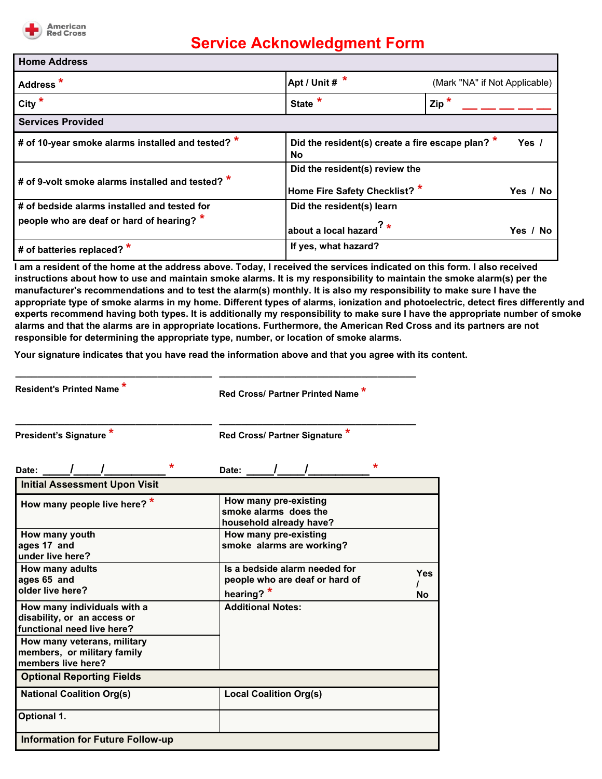

# **Service Acknowledgment Form**

| <b>Home Address</b>                               |                                                                 |                               |
|---------------------------------------------------|-----------------------------------------------------------------|-------------------------------|
| Address <sup>*</sup>                              | Apt / Unit $\#$ *                                               | (Mark "NA" if Not Applicable) |
| City $*$                                          | State <sup>*</sup>                                              | $\mathsf{Zip}^*$              |
| <b>Services Provided</b>                          |                                                                 |                               |
| # of 10-year smoke alarms installed and tested? * | Did the resident(s) create a fire escape plan? $*$<br>No        | Yes $\sqrt{ }$                |
| # of 9-volt smoke alarms installed and tested? *  | Did the resident(s) review the<br>Home Fire Safety Checklist? * | Yes / No                      |
| # of bedside alarms installed and tested for      | Did the resident(s) learn                                       |                               |
| people who are deaf or hard of hearing? *         | about a local hazard $^2$ *                                     | Yes / No                      |
| # of batteries replaced? *                        | If yes, what hazard?                                            |                               |

**I am a resident of the home at the address above. Today, I received the services indicated on this form. I also received instructions about how to use and maintain smoke alarms. It is my responsibility to maintain the smoke alarm(s) per the manufacturer's recommendations and to test the alarm(s) monthly. It is also my responsibility to make sure I have the appropriate type of smoke alarms in my home. Different types of alarms, ionization and photoelectric, detect fires differently and experts recommend having both types. It is additionally my responsibility to make sure I have the appropriate number of smoke alarms and that the alarms are in appropriate locations. Furthermore, the American Red Cross and its partners are not responsible for determining the appropriate type, number, or location of smoke alarms.**

**Your signature indicates that you have read the information above and that you agree with its content.**

**\_\_\_\_\_\_\_\_\_\_\_\_\_\_\_\_\_\_\_\_\_\_\_\_\_\_\_\_\_\_\_\_\_\_\_\_ \_\_\_\_\_\_\_\_\_\_\_\_\_\_\_\_\_\_\_\_\_\_\_\_\_\_\_\_\_\_\_\_\_\_\_\_**

**\_\_\_\_\_\_\_\_\_\_\_\_\_\_\_\_\_\_\_\_\_\_\_\_\_\_\_\_\_\_\_\_\_\_\_\_ \_\_\_\_\_\_\_\_\_\_\_\_\_\_\_\_\_\_\_\_\_\_\_\_\_\_\_\_\_\_\_\_\_\_\_\_**

**Resident's Printed Name \***

**Red Cross/ Partner Printed Name \***

**President's Signature \* Red Cross/ Partner Signature \***

**Date: \_\_\_\_/\_\_\_\_/\_\_\_\_\_\_\_\_\_ \* Date: \_\_\_\_/\_\_\_\_/\_\_\_\_\_\_\_\_\_ \* Initial Assessment Upon Visit How many people live here? \* How many pre-existing smoke alarms does the household already have? How many youth ages 17 and under live here? How many pre-existing smoke alarms are working? How many adults ages 65 and older live here? Is a bedside alarm needed for people who are deaf or hard of hearing? \* Yes / No How many individuals with a disability, or an access or functional need live here? Additional Notes: How many veterans, military members, or military family members live here? Optional Reporting Fields National Coalition Org(s) Local Coalition Org(s) Optional 1. Information for Future Follow-up**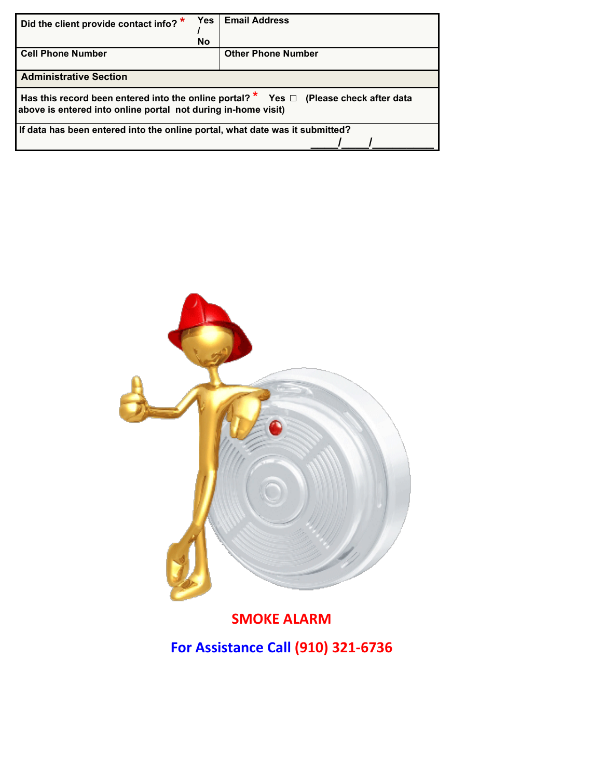| Did the client provide contact info? *                                                                                                                        | Yes       | <b>Email Address</b>      |  |  |  |
|---------------------------------------------------------------------------------------------------------------------------------------------------------------|-----------|---------------------------|--|--|--|
|                                                                                                                                                               | <b>No</b> |                           |  |  |  |
| <b>Cell Phone Number</b>                                                                                                                                      |           | <b>Other Phone Number</b> |  |  |  |
| <b>Administrative Section</b>                                                                                                                                 |           |                           |  |  |  |
| Has this record been entered into the online portal? $*$ Yes $\Box$ (Please check after data<br>above is entered into online portal not during in-home visit) |           |                           |  |  |  |
| I If data has been entered into the online portal, what date was it submitted?                                                                                |           |                           |  |  |  |
|                                                                                                                                                               |           |                           |  |  |  |



**SMOKE ALARM For Assistance Call (910) 321-6736**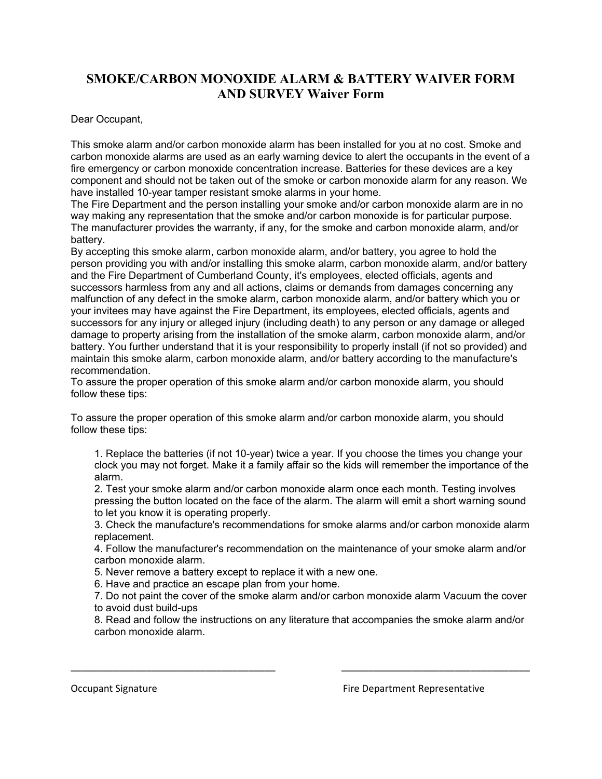# **SMOKE/CARBON MONOXIDE ALARM & BATTERY WAIVER FORM AND SURVEY Waiver Form**

Dear Occupant,

This smoke alarm and/or carbon monoxide alarm has been installed for you at no cost. Smoke and carbon monoxide alarms are used as an early warning device to alert the occupants in the event of a fire emergency or carbon monoxide concentration increase. Batteries for these devices are a key component and should not be taken out of the smoke or carbon monoxide alarm for any reason. We have installed 10-year tamper resistant smoke alarms in your home.

The Fire Department and the person installing your smoke and/or carbon monoxide alarm are in no way making any representation that the smoke and/or carbon monoxide is for particular purpose. The manufacturer provides the warranty, if any, for the smoke and carbon monoxide alarm, and/or battery.

By accepting this smoke alarm, carbon monoxide alarm, and/or battery, you agree to hold the person providing you with and/or installing this smoke alarm, carbon monoxide alarm, and/or battery and the Fire Department of Cumberland County, it's employees, elected officials, agents and successors harmless from any and all actions, claims or demands from damages concerning any malfunction of any defect in the smoke alarm, carbon monoxide alarm, and/or battery which you or your invitees may have against the Fire Department, its employees, elected officials, agents and successors for any injury or alleged injury (including death) to any person or any damage or alleged damage to property arising from the installation of the smoke alarm, carbon monoxide alarm, and/or battery. You further understand that it is your responsibility to properly install (if not so provided) and maintain this smoke alarm, carbon monoxide alarm, and/or battery according to the manufacture's recommendation.

To assure the proper operation of this smoke alarm and/or carbon monoxide alarm, you should follow these tips:

To assure the proper operation of this smoke alarm and/or carbon monoxide alarm, you should follow these tips:

1. Replace the batteries (if not 10-year) twice a year. If you choose the times you change your clock you may not forget. Make it a family affair so the kids will remember the importance of the alarm.

2. Test your smoke alarm and/or carbon monoxide alarm once each month. Testing involves pressing the button located on the face of the alarm. The alarm will emit a short warning sound to let you know it is operating properly.

3. Check the manufacture's recommendations for smoke alarms and/or carbon monoxide alarm replacement.

4. Follow the manufacturer's recommendation on the maintenance of your smoke alarm and/or carbon monoxide alarm.

5. Never remove a battery except to replace it with a new one.

6. Have and practice an escape plan from your home.

7. Do not paint the cover of the smoke alarm and/or carbon monoxide alarm Vacuum the cover to avoid dust build-ups

8. Read and follow the instructions on any literature that accompanies the smoke alarm and/or carbon monoxide alarm.

\_\_\_\_\_\_\_\_\_\_\_\_\_\_\_\_\_\_\_\_\_\_\_\_\_\_\_\_\_\_\_\_\_\_\_\_\_\_ \_\_\_\_\_\_\_\_\_\_\_\_\_\_\_\_\_\_\_\_\_\_\_\_\_\_\_\_\_\_\_\_\_\_\_

Occupant Signature Fire Department Representative